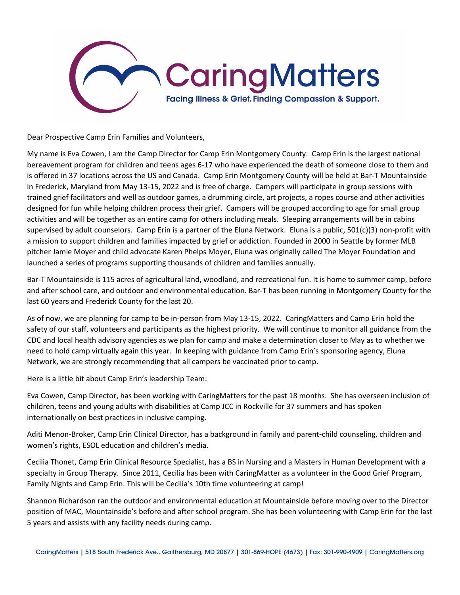

Dear Prospective Camp Erin Families and Volunteers,

My name is Eva Cowen, I am the Camp Director for Camp Erin Montgomery County. Camp Erin is the largest national bereavement program for children and teens ages 6-17 who have experienced the death of someone close to them and is offered in 37 locations across the US and Canada. Camp Erin Montgomery County will be held at Bar-T Mountainside in Frederick, Maryland from May 13-15, 2022 and is free of charge. Campers will participate in group sessions with trained grief facilitators and well as outdoor games, a drumming circle, art projects, a ropes course and other activities designed for fun while helping children process their grief. Campers will be grouped according to age for small group activities and will be together as an entire camp for others including meals. Sleeping arrangements will be in cabins supervised by adult counselors. Camp Erin is a partner of the Eluna Network. Eluna is a public, 501(c)(3) non-profit with a mission to support children and families impacted by grief or addiction. Founded in 2000 in Seattle by former MLB pitcher Jamie Moyer and child advocate Karen Phelps Moyer, Eluna was originally called The Moyer Foundation and launched a series of programs supporting thousands of children and families annually.

Bar-T Mountainside is 115 acres of agricultural land, woodland, and recreational fun. It is home to summer camp, before and after school care, and outdoor and environmental education. Bar-T has been running in Montgomery County for the last 60 years and Frederick County for the last 20.

As of now, we are planning for camp to be in-person from May 13-15, 2022. CaringMatters and Camp Erin hold the safety of our staff, volunteers and participants as the highest priority. We will continue to monitor all guidance from the CDC and local health advisory agencies as we plan for camp and make a determination closer to May as to whether we need to hold camp virtually again this year. In keeping with guidance from Camp Erin's sponsoring agency, Eluna Network, we are strongly recommending that all campers be vaccinated prior to camp.

Here is a little bit about Camp Erin's leadership Team:

Eva Cowen, Camp Director, has been working with CaringMatters for the past 18 months. She has overseen inclusion of children, teens and young adults with disabilities at Camp JCC in Rockville for 37 summers and has spoken internationally on best practices in inclusive camping.

Aditi Menon-Broker, Camp Erin Clinical Director, has a background in family and parent-child counseling, children and women's rights, ESOL education and children's media.

Cecilia Thonet, Camp Erin Clinical Resource Specialist, has a BS in Nursing and a Masters in Human Development with a specialty in Group Therapy. Since 2011, Cecilia has been with CaringMatter as a volunteer in the Good Grief Program, Family Nights and Camp Erin. This will be Cecilia's 10th time volunteering at camp!

Shannon Richardson ran the outdoor and environmental education at Mountainside before moving over to the Director position of MAC, Mountainside's before and after school program. She has been volunteering with Camp Erin for the last 5 years and assists with any facility needs during camp.